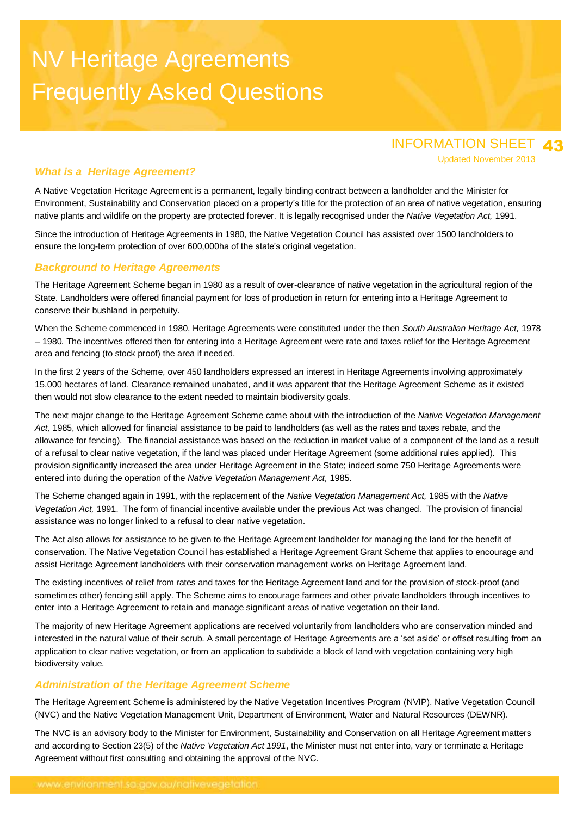# NV Heritage Agreements Frequently Asked Questions

# INFORMATION SHEET 43 Updated November 2013

# *What is a Heritage Agreement?*

A Native Vegetation Heritage Agreement is a permanent, legally binding contract between a landholder and the Minister for Environment, Sustainability and Conservation placed on a property"s title for the protection of an area of native vegetation, ensuring native plants and wildlife on the property are protected forever. It is legally recognised under the *Native Vegetation Act,* 1991.

Since the introduction of Heritage Agreements in 1980, the Native Vegetation Council has assisted over 1500 landholders to ensure the long-term protection of over 600,000ha of the state"s original vegetation.

# *Background to Heritage Agreements*

The Heritage Agreement Scheme began in 1980 as a result of over-clearance of native vegetation in the agricultural region of the State. Landholders were offered financial payment for loss of production in return for entering into a Heritage Agreement to conserve their bushland in perpetuity.

When the Scheme commenced in 1980, Heritage Agreements were constituted under the then *South Australian Heritage Act,* 1978 – 1980*.* The incentives offered then for entering into a Heritage Agreement were rate and taxes relief for the Heritage Agreement area and fencing (to stock proof) the area if needed.

In the first 2 years of the Scheme, over 450 landholders expressed an interest in Heritage Agreements involving approximately 15,000 hectares of land. Clearance remained unabated, and it was apparent that the Heritage Agreement Scheme as it existed then would not slow clearance to the extent needed to maintain biodiversity goals.

The next major change to the Heritage Agreement Scheme came about with the introduction of the *Native Vegetation Management Act,* 1985, which allowed for financial assistance to be paid to landholders (as well as the rates and taxes rebate, and the allowance for fencing). The financial assistance was based on the reduction in market value of a component of the land as a result of a refusal to clear native vegetation, if the land was placed under Heritage Agreement (some additional rules applied). This provision significantly increased the area under Heritage Agreement in the State; indeed some 750 Heritage Agreements were entered into during the operation of the *Native Vegetation Management Act,* 1985.

The Scheme changed again in 1991, with the replacement of the *Native Vegetation Management Act,* 1985 with the *Native Vegetation Act,* 1991. The form of financial incentive available under the previous Act was changed. The provision of financial assistance was no longer linked to a refusal to clear native vegetation.

The Act also allows for assistance to be given to the Heritage Agreement landholder for managing the land for the benefit of conservation. The Native Vegetation Council has established a Heritage Agreement Grant Scheme that applies to encourage and assist Heritage Agreement landholders with their conservation management works on Heritage Agreement land.

The existing incentives of relief from rates and taxes for the Heritage Agreement land and for the provision of stock-proof (and sometimes other) fencing still apply. The Scheme aims to encourage farmers and other private landholders through incentives to enter into a Heritage Agreement to retain and manage significant areas of native vegetation on their land.

The majority of new Heritage Agreement applications are received voluntarily from landholders who are conservation minded and interested in the natural value of their scrub. A small percentage of Heritage Agreements are a "set aside" or offset resulting from an application to clear native vegetation, or from an application to subdivide a block of land with vegetation containing very high biodiversity value.

# *Administration of the Heritage Agreement Scheme*

The Heritage Agreement Scheme is administered by the Native Vegetation Incentives Program (NVIP), Native Vegetation Council (NVC) and the Native Vegetation Management Unit, Department of Environment, Water and Natural Resources (DEWNR).

The NVC is an advisory body to the Minister for Environment, Sustainability and Conservation on all Heritage Agreement matters and according to Section 23(5) of the *Native Vegetation Act 1991*, the Minister must not enter into, vary or terminate a Heritage Agreement without first consulting and obtaining the approval of the NVC.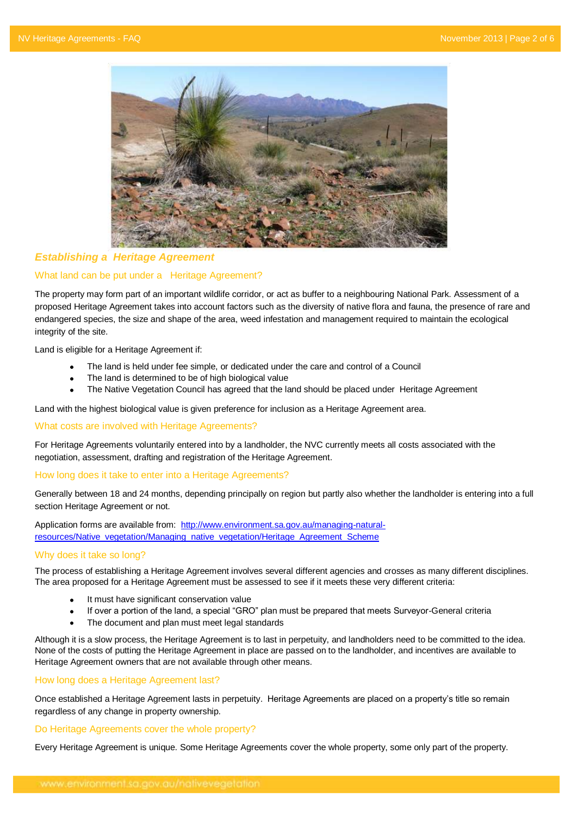

## *Establishing a Heritage Agreement*

## What land can be put under a Heritage Agreement?

The property may form part of an important wildlife corridor, or act as buffer to a neighbouring National Park. Assessment of a proposed Heritage Agreement takes into account factors such as the diversity of native flora and fauna, the presence of rare and endangered species, the size and shape of the area, weed infestation and management required to maintain the ecological integrity of the site.

Land is eligible for a Heritage Agreement if:

- The land is held under fee simple, or dedicated under the care and control of a Council
- The land is determined to be of high biological value
- The Native Vegetation Council has agreed that the land should be placed under Heritage Agreement

Land with the highest biological value is given preference for inclusion as a Heritage Agreement area.

## What costs are involved with Heritage Agreements?

For Heritage Agreements voluntarily entered into by a landholder, the NVC currently meets all costs associated with the negotiation, assessment, drafting and registration of the Heritage Agreement.

## How long does it take to enter into a Heritage Agreements?

Generally between 18 and 24 months, depending principally on region but partly also whether the landholder is entering into a full section Heritage Agreement or not.

Application forms are available from: [http://www.environment.sa.gov.au/managing-natural](http://www.environment.sa.gov.au/managing-natural-resources/Native_vegetation/Managing_native_vegetation/Heritage_Agreement_Scheme)[resources/Native\\_vegetation/Managing\\_native\\_vegetation/Heritage\\_Agreement\\_Scheme](http://www.environment.sa.gov.au/managing-natural-resources/Native_vegetation/Managing_native_vegetation/Heritage_Agreement_Scheme)

## Why does it take so long?

The process of establishing a Heritage Agreement involves several different agencies and crosses as many different disciplines. The area proposed for a Heritage Agreement must be assessed to see if it meets these very different criteria:

- It must have significant conservation value
- If over a portion of the land, a special "GRO" plan must be prepared that meets Surveyor-General criteria
- The document and plan must meet legal standards

Although it is a slow process, the Heritage Agreement is to last in perpetuity, and landholders need to be committed to the idea. None of the costs of putting the Heritage Agreement in place are passed on to the landholder, and incentives are available to Heritage Agreement owners that are not available through other means.

## How long does a Heritage Agreement last?

Once established a Heritage Agreement lasts in perpetuity. Heritage Agreements are placed on a property"s title so remain regardless of any change in property ownership.

## Do Heritage Agreements cover the whole property?

Every Heritage Agreement is unique. Some Heritage Agreements cover the whole property, some only part of the property.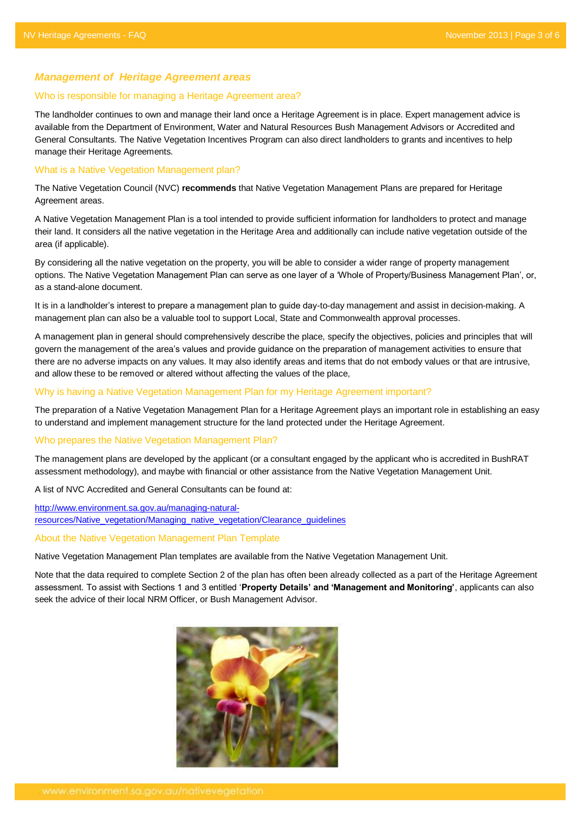## *Management of Heritage Agreement areas*

#### Who is responsible for managing a Heritage Agreement area?

The landholder continues to own and manage their land once a Heritage Agreement is in place. Expert management advice is available from the Department of Environment, Water and Natural Resources Bush Management Advisors or Accredited and General Consultants. The Native Vegetation Incentives Program can also direct landholders to grants and incentives to help manage their Heritage Agreements.

## What is a Native Vegetation Management plan?

The Native Vegetation Council (NVC) **recommends** that Native Vegetation Management Plans are prepared for Heritage Agreement areas.

A Native Vegetation Management Plan is a tool intended to provide sufficient information for landholders to protect and manage their land. It considers all the native vegetation in the Heritage Area and additionally can include native vegetation outside of the area (if applicable).

By considering all the native vegetation on the property, you will be able to consider a wider range of property management options. The Native Vegetation Management Plan can serve as one layer of a "Whole of Property/Business Management Plan", or, as a stand-alone document.

It is in a landholder's interest to prepare a management plan to guide day-to-day management and assist in decision-making. A management plan can also be a valuable tool to support Local, State and Commonwealth approval processes.

A management plan in general should comprehensively describe the place, specify the objectives, policies and principles that will govern the management of the area"s values and provide guidance on the preparation of management activities to ensure that there are no adverse impacts on any values. It may also identify areas and items that do not embody values or that are intrusive, and allow these to be removed or altered without affecting the values of the place,

#### Why is having a Native Vegetation Management Plan for my Heritage Agreement important?

The preparation of a Native Vegetation Management Plan for a Heritage Agreement plays an important role in establishing an easy to understand and implement management structure for the land protected under the Heritage Agreement.

#### Who prepares the Native Vegetation Management Plan?

The management plans are developed by the applicant (or a consultant engaged by the applicant who is accredited in BushRAT assessment methodology), and maybe with financial or other assistance from the Native Vegetation Management Unit.

A list of NVC Accredited and General Consultants can be found at:

[http://www.environment.sa.gov.au/managing-natural](http://www.environment.sa.gov.au/managing-natural-resources/Native_vegetation/Managing_native_vegetation/Clearance_guidelines)[resources/Native\\_vegetation/Managing\\_native\\_vegetation/Clearance\\_guidelines](http://www.environment.sa.gov.au/managing-natural-resources/Native_vegetation/Managing_native_vegetation/Clearance_guidelines)

#### About the Native Vegetation Management Plan Template

Native Vegetation Management Plan templates are available from the Native Vegetation Management Unit.

Note that the data required to complete Section 2 of the plan has often been already collected as a part of the Heritage Agreement assessment. To assist with Sections 1 and 3 entitled "**Property Details' and 'Management and Monitoring'**, applicants can also seek the advice of their local NRM Officer, or Bush Management Advisor.

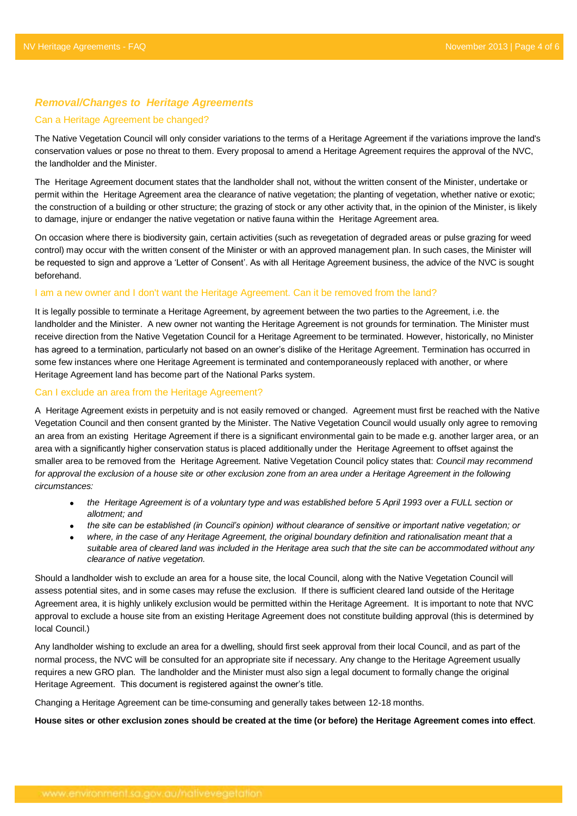## *Removal/Changes to Heritage Agreements*

#### Can a Heritage Agreement be changed?

The Native Vegetation Council will only consider variations to the terms of a Heritage Agreement if the variations improve the land's conservation values or pose no threat to them. Every proposal to amend a Heritage Agreement requires the approval of the NVC, the landholder and the Minister.

The Heritage Agreement document states that the landholder shall not, without the written consent of the Minister, undertake or permit within the Heritage Agreement area the clearance of native vegetation; the planting of vegetation, whether native or exotic; the construction of a building or other structure; the grazing of stock or any other activity that, in the opinion of the Minister, is likely to damage, injure or endanger the native vegetation or native fauna within the Heritage Agreement area.

On occasion where there is biodiversity gain, certain activities (such as revegetation of degraded areas or pulse grazing for weed control) may occur with the written consent of the Minister or with an approved management plan. In such cases, the Minister will be requested to sign and approve a "Letter of Consent". As with all Heritage Agreement business, the advice of the NVC is sought beforehand.

#### I am a new owner and I don't want the Heritage Agreement. Can it be removed from the land?

It is legally possible to terminate a Heritage Agreement, by agreement between the two parties to the Agreement, i.e. the landholder and the Minister. A new owner not wanting the Heritage Agreement is not grounds for termination. The Minister must receive direction from the Native Vegetation Council for a Heritage Agreement to be terminated. However, historically, no Minister has agreed to a termination, particularly not based on an owner"s dislike of the Heritage Agreement. Termination has occurred in some few instances where one Heritage Agreement is terminated and contemporaneously replaced with another, or where Heritage Agreement land has become part of the National Parks system.

#### Can I exclude an area from the Heritage Agreement?

A Heritage Agreement exists in perpetuity and is not easily removed or changed. Agreement must first be reached with the Native Vegetation Council and then consent granted by the Minister. The Native Vegetation Council would usually only agree to removing an area from an existing Heritage Agreement if there is a significant environmental gain to be made e.g. another larger area, or an area with a significantly higher conservation status is placed additionally under the Heritage Agreement to offset against the smaller area to be removed from the Heritage Agreement. Native Vegetation Council policy states that: *Council may recommend for approval the exclusion of a house site or other exclusion zone from an area under a Heritage Agreement in the following circumstances:*

- *the Heritage Agreement is of a voluntary type and was established before 5 April 1993 over a FULL section or allotment; and*
- *the site can be established (in Council's opinion) without clearance of sensitive or important native vegetation; or*
- *where, in the case of any Heritage Agreement, the original boundary definition and rationalisation meant that a suitable area of cleared land was included in the Heritage area such that the site can be accommodated without any clearance of native vegetation.*

Should a landholder wish to exclude an area for a house site, the local Council, along with the Native Vegetation Council will assess potential sites, and in some cases may refuse the exclusion. If there is sufficient cleared land outside of the Heritage Agreement area, it is highly unlikely exclusion would be permitted within the Heritage Agreement. It is important to note that NVC approval to exclude a house site from an existing Heritage Agreement does not constitute building approval (this is determined by local Council.)

Any landholder wishing to exclude an area for a dwelling, should first seek approval from their local Council, and as part of the normal process, the NVC will be consulted for an appropriate site if necessary. Any change to the Heritage Agreement usually requires a new GRO plan. The landholder and the Minister must also sign a legal document to formally change the original Heritage Agreement. This document is registered against the owner's title.

Changing a Heritage Agreement can be time-consuming and generally takes between 12-18 months.

**House sites or other exclusion zones should be created at the time (or before) the Heritage Agreement comes into effect**.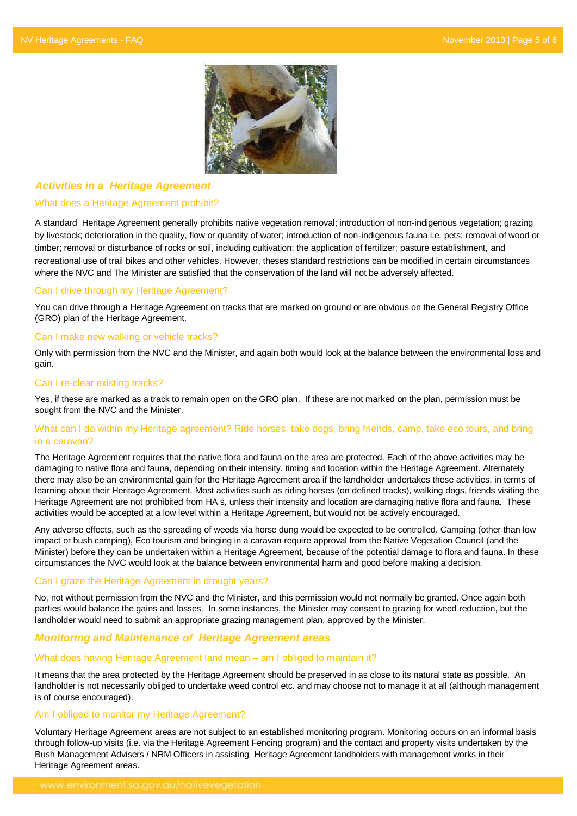

## *Activities in a Heritage Agreement*

#### What does a Heritage Agreement prohibit?

A standard Heritage Agreement generally prohibits native vegetation removal; introduction of non-indigenous vegetation; grazing by livestock; deterioration in the quality, flow or quantity of water; introduction of non-indigenous fauna i.e. pets; removal of wood or timber; removal or disturbance of rocks or soil, including cultivation; the application of fertilizer; pasture establishment, and recreational use of trail bikes and other vehicles. However, theses standard restrictions can be modified in certain circumstances where the NVC and The Minister are satisfied that the conservation of the land will not be adversely affected.

## Can I drive through my Heritage Agreement?

You can drive through a Heritage Agreement on tracks that are marked on ground or are obvious on the General Registry Office (GRO) plan of the Heritage Agreement.

#### Can I make new walking or vehicle tracks?

Only with permission from the NVC and the Minister, and again both would look at the balance between the environmental loss and gain.

#### Can I re-clear existing tracks?

Yes, if these are marked as a track to remain open on the GRO plan. If these are not marked on the plan, permission must be sought from the NVC and the Minister.

## What can I do within my Heritage agreement? Ride horses, take dogs, bring friends, camp, take eco tours, and bring in a caravan?

The Heritage Agreement requires that the native flora and fauna on the area are protected. Each of the above activities may be damaging to native flora and fauna, depending on their intensity, timing and location within the Heritage Agreement. Alternately there may also be an environmental gain for the Heritage Agreement area if the landholder undertakes these activities, in terms of learning about their Heritage Agreement. Most activities such as riding horses (on defined tracks), walking dogs, friends visiting the Heritage Agreement are not prohibited from HA s, unless their intensity and location are damaging native flora and fauna. These activities would be accepted at a low level within a Heritage Agreement, but would not be actively encouraged.

Any adverse effects, such as the spreading of weeds via horse dung would be expected to be controlled. Camping (other than low impact or bush camping), Eco tourism and bringing in a caravan require approval from the Native Vegetation Council (and the Minister) before they can be undertaken within a Heritage Agreement, because of the potential damage to flora and fauna. In these circumstances the NVC would look at the balance between environmental harm and good before making a decision.

## Can I graze the Heritage Agreement in drought years?

No, not without permission from the NVC and the Minister, and this permission would not normally be granted. Once again both parties would balance the gains and losses. In some instances, the Minister may consent to grazing for weed reduction, but the landholder would need to submit an appropriate grazing management plan, approved by the Minister.

## *Monitoring and Maintenance of Heritage Agreement areas*

## What does having Heritage Agreement land mean – am I obliged to maintain it?

It means that the area protected by the Heritage Agreement should be preserved in as close to its natural state as possible. An landholder is not necessarily obliged to undertake weed control etc. and may choose not to manage it at all (although management is of course encouraged).

## Am I obliged to monitor my Heritage Agreement?

Voluntary Heritage Agreement areas are not subject to an established monitoring program. Monitoring occurs on an informal basis through follow-up visits (i.e. via the Heritage Agreement Fencing program) and the contact and property visits undertaken by the Bush Management Advisers / NRM Officers in assisting Heritage Agreement landholders with management works in their Heritage Agreement areas.